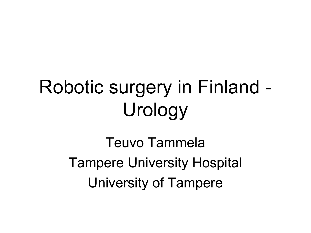## Robotic surgery in Finland - Urology

Teuvo Tammela Tampere University Hospital University of Tampere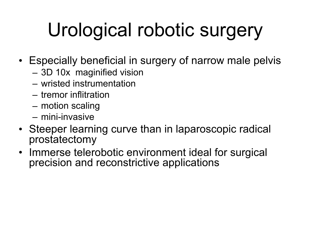# Urological robotic surgery

- Especially beneficial in surgery of narrow male pelvis
	- 3D 10x maginified vision
	- wristed instrumentation
	- tremor inflitration
	- motion scaling
	- mini-invasive
- Steeper learning curve than in laparoscopic radical prostatectomy
- Immerse telerobotic environment ideal for surgical precision and reconstrictive applications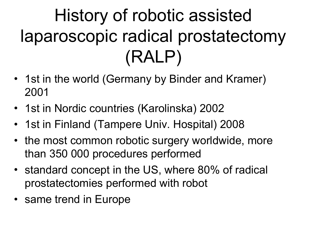## History of robotic assisted laparoscopic radical prostatectomy (RALP)

- 1st in the world (Germany by Binder and Kramer) 2001
- 1st in Nordic countries (Karolinska) 2002
- 1st in Finland (Tampere Univ. Hospital) 2008
- the most common robotic surgery worldwide, more than 350 000 procedures performed
- standard concept in the US, where 80% of radical prostatectomies performed with robot
- same trend in Europe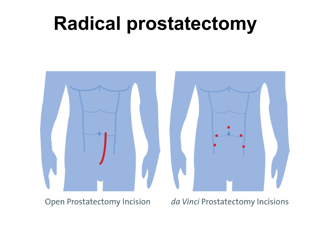## **Radical prostatectomy**



**Open Prostatectomy Incision** 

da Vinci Prostatectomy Incisions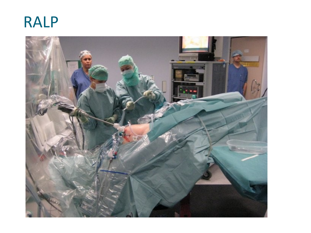

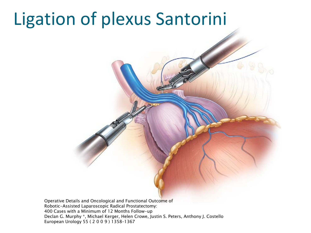## Ligation of plexus Santorini

Operative Details and Oncological and Functional Outcome of Robotic-Assisted Laparoscopic Radical Prostatectomy: 400 Cases with a Minimum of 12 Months Follow-up Declan G. Murphy \*, Michael Kerger, Helen Crowe, Justin S. Peters, Anthony J. Costello European Urology 55 ( 2 0 0 9 ) 1358–1367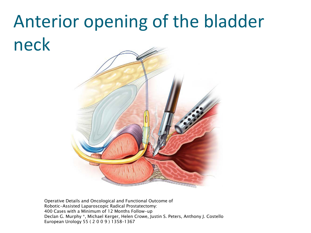## Anterior opening of the bladder neck



Operative Details and Oncological and Functional Outcome of Robotic-Assisted Laparoscopic Radical Prostatectomy: 400 Cases with a Minimum of 12 Months Follow-up Declan G. Murphy \*, Michael Kerger, Helen Crowe, Justin S. Peters, Anthony J. Costello European Urology 55 ( 2 0 0 9 ) 1358–1367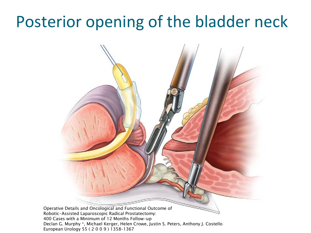### Posterior opening of the bladder neck



European Urology 55 ( 2 0 0 9 ) 1358–1367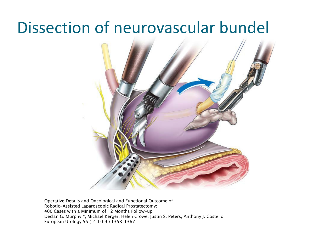#### Dissection of neurovascular bundel



Operative Details and Oncological and Functional Outcome of Robotic-Assisted Laparoscopic Radical Prostatectomy: 400 Cases with a Minimum of 12 Months Follow-up Declan G. Murphy \*, Michael Kerger, Helen Crowe, Justin S. Peters, Anthony J. Costello European Urology 55 ( 2 0 0 9 ) 1358–1367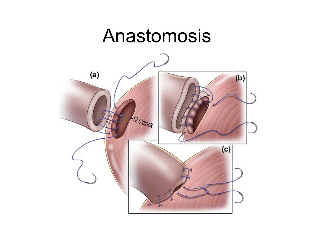### Anastomosis

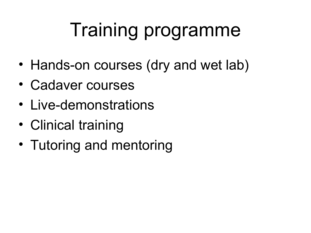## Training programme

- Hands-on courses (dry and wet lab)
- Cadaver courses
- Live-demonstrations
- Clinical training
- Tutoring and mentoring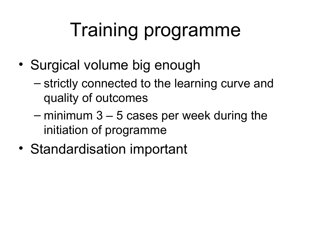## Training programme

- Surgical volume big enough
	- strictly connected to the learning curve and quality of outcomes
	- minimum 3 5 cases per week during the initiation of programme
- Standardisation important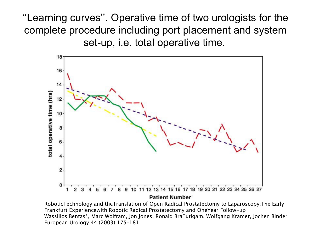''Learning curves''. Operative time of two urologists for the complete procedure including port placement and system set-up, i.e. total operative time.



**Patient Number** 

RoboticTechnology and theTranslation of Open Radical Prostatectomy to Laparoscopy:The Early Frankfurt Experiencewith Robotic Radical Prostatectomy and OneYear Follow-up Wassilios Bentas\*, Marc Wolfram, Jon Jones, Ronald Bra¨utigam, Wolfgang Kramer, Jochen Binder European Urology 44 (2003) 175–181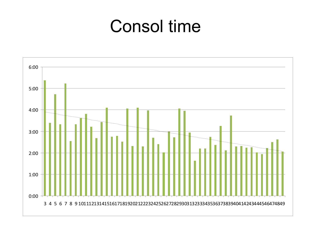### Consol time

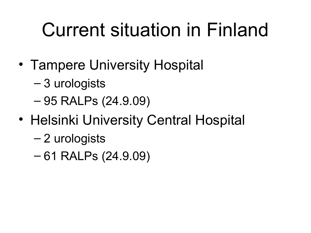## Current situation in Finland

- Tampere University Hospital
	- 3 urologists
	- 95 RALPs (24.9.09)
- Helsinki University Central Hospital
	- 2 urologists
	- 61 RALPs (24.9.09)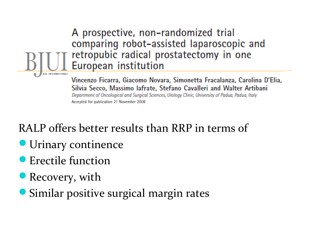#### A prospective, non-randomized trial comparing robot-assisted laparoscopic and retropubic radical prostatectomy in one European institution

Vincenzo Ficarra, Giacomo Novara, Simonetta Fracalanza, Carolina D'Elia, Silvia Secco, Massimo lafrate, Stefano Cavalleri and Walter Artibani Department of Oncological and Surgical Sciences, Urology Clinic, University of Padua, Padua, Italy Accepted for publication 21 November 2008

#### RALP offers better results than RRP in terms of

- **Urinary continence**
- **•** Erectile function
- Recovery, with
- Similar positive surgical margin rates